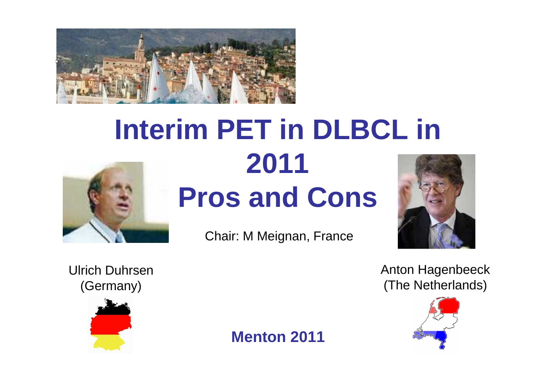

# **Interim PET in DLBCL in 2011 Pros and Cons**



Chair: M Meignan, France



Ulrich Duhrsen(Germany)



**Menton 2011**

Anton Hagenbeeck(The Netherlands)

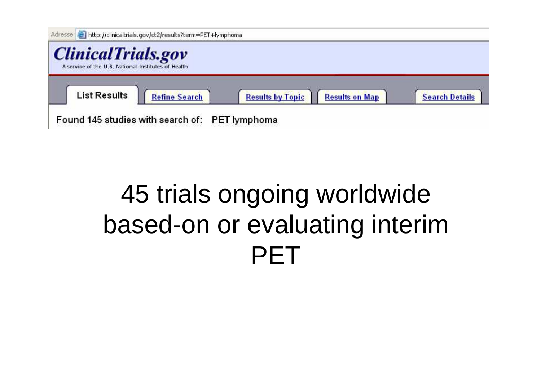| Adresse   http://clinicaltrials.gov/ct2/results?term=PET+lymphoma<br><b>ClinicalTrials.gov</b><br>A service of the U.S. National Institutes of Health |                                                |                         |                       |                       |
|-------------------------------------------------------------------------------------------------------------------------------------------------------|------------------------------------------------|-------------------------|-----------------------|-----------------------|
| <b>List Results</b>                                                                                                                                   | <b>Refine Search</b>                           | <b>Results by Topic</b> | <b>Results on Map</b> | <b>Search Details</b> |
|                                                                                                                                                       | Found 145 studies with search of: PET lymphoma |                         |                       |                       |

## 45 trials ongoing worldwide based-on or evaluating interim PET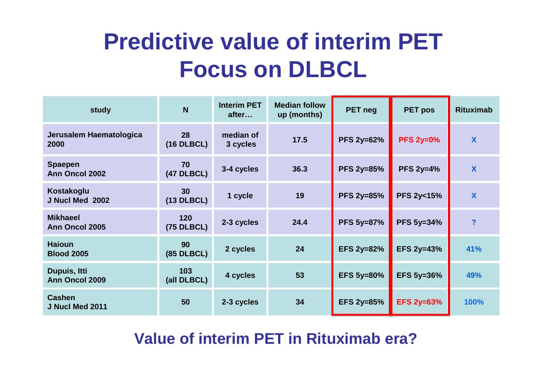## **Predictive value of interim PETFocus on DLBCL**

| study                              | N                               | <b>Interim PET</b><br>after | <b>Median follow</b><br>up (months) | PET neg           | PET pos              | <b>Rituximab</b>          |
|------------------------------------|---------------------------------|-----------------------------|-------------------------------------|-------------------|----------------------|---------------------------|
| Jerusalem Haematologica<br>2000    | 28<br>$(16$ DLBCL)              | median of<br>3 cycles       | 17.5                                | <b>PFS 2y=62%</b> | <b>PFS 2y=0%</b>     | X                         |
| <b>Spaepen</b><br>Ann Oncol 2002   | 70<br><b>(47 DLBCL)</b>         | 3-4 cycles                  | 36.3                                | <b>PFS 2y=85%</b> | <b>PFS 2y=4%</b>     | X                         |
| Kostakoglu<br>J Nucl Med 2002      | 30 <sup>°</sup><br>$(13$ DLBCL) | 1 cycle                     | 19                                  | <b>PFS 2y=85%</b> | <b>PFS 2y&lt;15%</b> | $\boldsymbol{\mathsf{X}}$ |
| <b>Mikhaeel</b><br>Ann Oncol 2005  | 120<br><b>(75 DLBCL)</b>        | 2-3 cycles                  | 24.4                                | <b>PFS 5y=87%</b> | <b>PFS 5y=34%</b>    | $\overline{\mathbf{?}}$   |
| <b>Haioun</b><br><b>Blood 2005</b> | 90<br><b>(85 DLBCL)</b>         | 2 cycles                    | 24                                  | <b>EFS 2y=82%</b> | <b>EFS 2y=43%</b>    | 41%                       |
| Dupuis, Itti<br>Ann Oncol 2009     | 103<br>(all DLBCL)              | 4 cycles                    | 53                                  | <b>EFS 5y=80%</b> | <b>EFS 5y=36%</b>    | 49%                       |
| <b>Cashen</b><br>J Nucl Med 2011   | 50                              | 2-3 cycles                  | 34                                  | <b>EFS 2y=85%</b> | <b>EFS 2y=63%</b>    | 100%                      |

#### **Value of interim PET in Rituximab era?**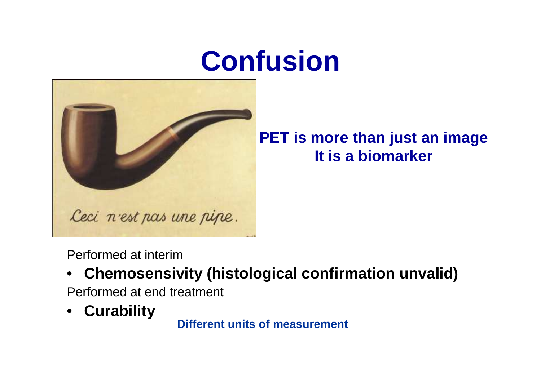# **Confusion**



### **PET is more than just an imageIt is a biomarker**

Performed at interim

 **Chemosensivity (histological confirmation unvalid)**  $\bullet$ 

Performed at end treatment

• **Curability**

**Different units of measurement**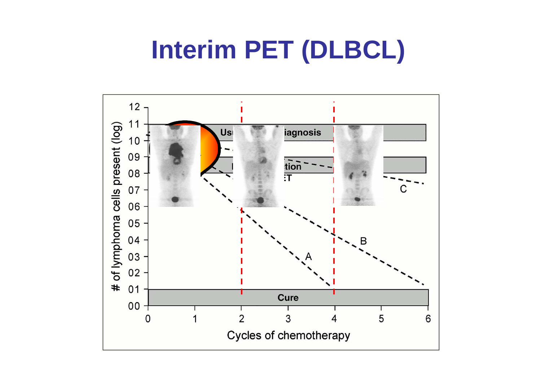## **Interim PET (DLBCL)**

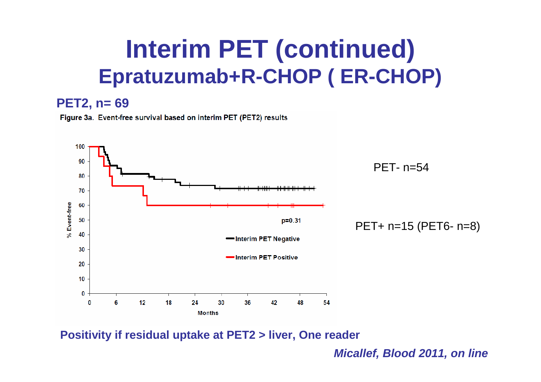## **Interim PET (continued)Epratuzumab+R-CHOP ( ER-CHOP)**

#### **PET2, n= 69**

Figure 3a. Event-free survival based on interim PET (PET2) results



**Positivity if residual uptake at PET2 > liver, One reader**

**Micallef, Blood 2011, on line**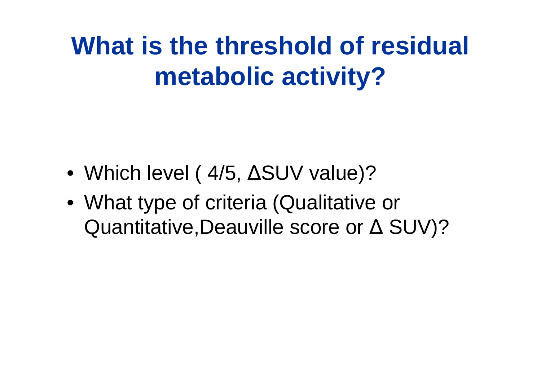## **What is the threshold of residual metabolic activity?**

- Which level ( 4/5, ∆SUV value)?
- What type of criteria (Qualitative or Quantitative,Deauville score or ∆ SUV)?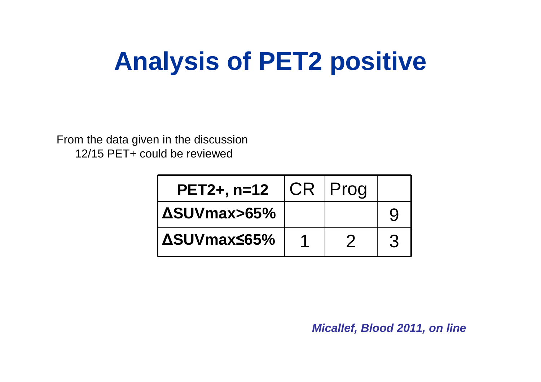## **Analysis of PET2 positive**

From the data given in the discussion 12/15 PET+ could be reviewed

| $PET2+, n=12$ | CR. | Prog |  |
|---------------|-----|------|--|
| I ΔSUVmax>65% |     |      |  |
| l ΔSUVmax≤65% |     |      |  |

**Micallef, Blood 2011, on line**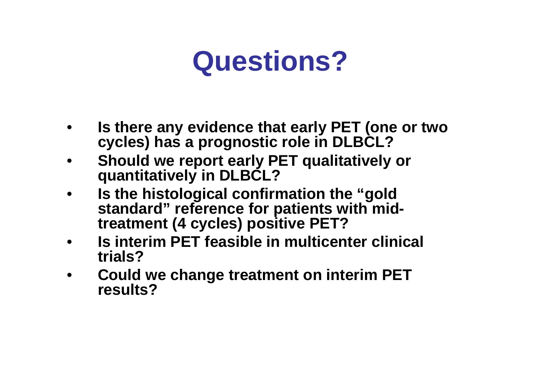## **Questions?**

- • **Is there any evidence that early PET (one or two cycles) has a prognostic role in DLBCL?**
- **Should we report early PET qualitatively or**  •**quantitatively in DLBCL?**
- **Is the histological confirmation the "gold**  •**standard" reference for patients with midtreatment (4 cycles) positive PET?**
- • **Is interim PET feasible in multicenter clinical trials?**
- • **Could we change treatment on interim PET results?**